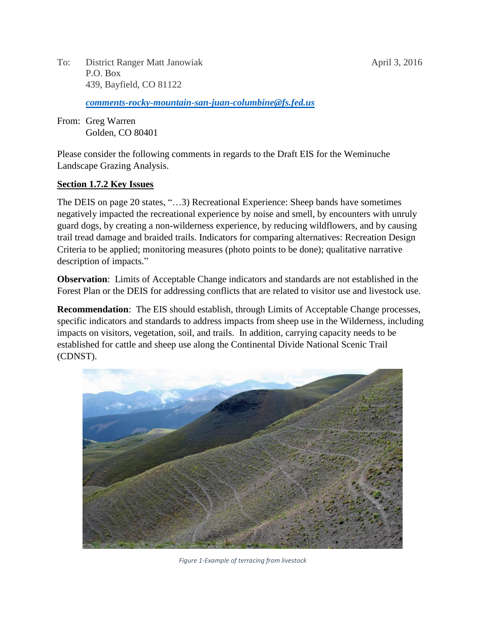To: District Ranger Matt Janowiak April 3, 2016 P.O. Box 439, Bayfield, CO 81122

*[comments-rocky-mountain-san-juan-columbine@fs.fed.us](mailto:comments-rocky-mountain-san-juan-columbine@fs.fed.us)*

From: Greg Warren Golden, CO 80401

Please consider the following comments in regards to the Draft EIS for the Weminuche Landscape Grazing Analysis.

#### **Section 1.7.2 Key Issues**

The DEIS on page 20 states, "…3) Recreational Experience: Sheep bands have sometimes negatively impacted the recreational experience by noise and smell, by encounters with unruly guard dogs, by creating a non-wilderness experience, by reducing wildflowers, and by causing trail tread damage and braided trails. Indicators for comparing alternatives: Recreation Design Criteria to be applied; monitoring measures (photo points to be done); qualitative narrative description of impacts."

**Observation**: Limits of Acceptable Change indicators and standards are not established in the Forest Plan or the DEIS for addressing conflicts that are related to visitor use and livestock use.

**Recommendation**: The EIS should establish, through Limits of Acceptable Change processes, specific indicators and standards to address impacts from sheep use in the Wilderness, including impacts on visitors, vegetation, soil, and trails. In addition, carrying capacity needs to be established for cattle and sheep use along the Continental Divide National Scenic Trail (CDNST).



*Figure 1-Example of terracing from livestock*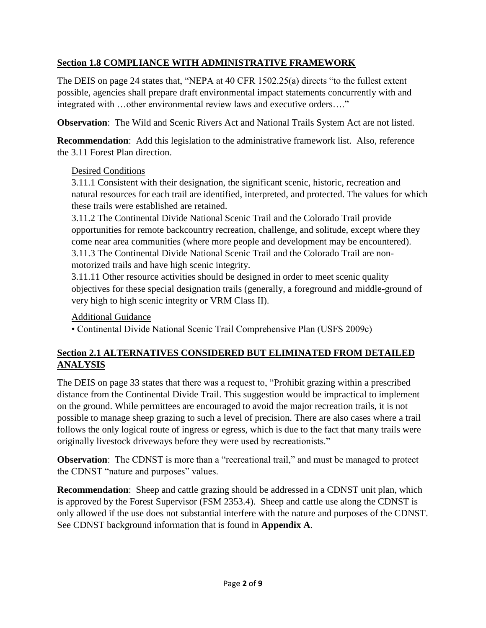### **Section 1.8 COMPLIANCE WITH ADMINISTRATIVE FRAMEWORK**

The DEIS on page 24 states that, "NEPA at 40 CFR 1502.25(a) directs "to the fullest extent possible, agencies shall prepare draft environmental impact statements concurrently with and integrated with …other environmental review laws and executive orders…."

**Observation**: The Wild and Scenic Rivers Act and National Trails System Act are not listed.

**Recommendation**: Add this legislation to the administrative framework list. Also, reference the 3.11 Forest Plan direction.

#### Desired Conditions

3.11.1 Consistent with their designation, the significant scenic, historic, recreation and natural resources for each trail are identified, interpreted, and protected. The values for which these trails were established are retained.

3.11.2 The Continental Divide National Scenic Trail and the Colorado Trail provide opportunities for remote backcountry recreation, challenge, and solitude, except where they come near area communities (where more people and development may be encountered). 3.11.3 The Continental Divide National Scenic Trail and the Colorado Trail are nonmotorized trails and have high scenic integrity.

3.11.11 Other resource activities should be designed in order to meet scenic quality objectives for these special designation trails (generally, a foreground and middle-ground of very high to high scenic integrity or VRM Class II).

### Additional Guidance

• Continental Divide National Scenic Trail Comprehensive Plan (USFS 2009c)

### **Section 2.1 ALTERNATIVES CONSIDERED BUT ELIMINATED FROM DETAILED ANALYSIS**

The DEIS on page 33 states that there was a request to, "Prohibit grazing within a prescribed distance from the Continental Divide Trail. This suggestion would be impractical to implement on the ground. While permittees are encouraged to avoid the major recreation trails, it is not possible to manage sheep grazing to such a level of precision. There are also cases where a trail follows the only logical route of ingress or egress, which is due to the fact that many trails were originally livestock driveways before they were used by recreationists."

**Observation**: The CDNST is more than a "recreational trail," and must be managed to protect the CDNST "nature and purposes" values.

**Recommendation**: Sheep and cattle grazing should be addressed in a CDNST unit plan, which is approved by the Forest Supervisor (FSM 2353.4). Sheep and cattle use along the CDNST is only allowed if the use does not substantial interfere with the nature and purposes of the CDNST. See CDNST background information that is found in **Appendix A**.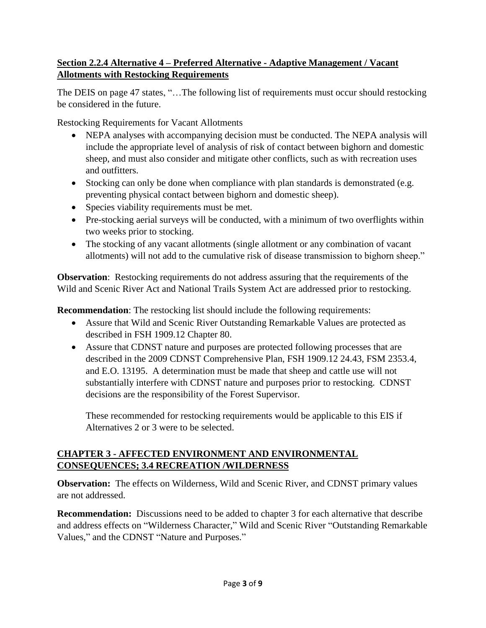### **Section 2.2.4 Alternative 4 – Preferred Alternative - Adaptive Management / Vacant Allotments with Restocking Requirements**

The DEIS on page 47 states, "…The following list of requirements must occur should restocking be considered in the future.

Restocking Requirements for Vacant Allotments

- NEPA analyses with accompanying decision must be conducted. The NEPA analysis will include the appropriate level of analysis of risk of contact between bighorn and domestic sheep, and must also consider and mitigate other conflicts, such as with recreation uses and outfitters.
- Stocking can only be done when compliance with plan standards is demonstrated (e.g. preventing physical contact between bighorn and domestic sheep).
- Species viability requirements must be met.
- Pre-stocking aerial surveys will be conducted, with a minimum of two overflights within two weeks prior to stocking.
- The stocking of any vacant allotments (single allotment or any combination of vacant allotments) will not add to the cumulative risk of disease transmission to bighorn sheep."

**Observation**: Restocking requirements do not address assuring that the requirements of the Wild and Scenic River Act and National Trails System Act are addressed prior to restocking.

**Recommendation**: The restocking list should include the following requirements:

- Assure that Wild and Scenic River Outstanding Remarkable Values are protected as described in FSH 1909.12 Chapter 80.
- Assure that CDNST nature and purposes are protected following processes that are described in the 2009 CDNST Comprehensive Plan, FSH 1909.12 24.43, FSM 2353.4, and E.O. 13195. A determination must be made that sheep and cattle use will not substantially interfere with CDNST nature and purposes prior to restocking. CDNST decisions are the responsibility of the Forest Supervisor.

These recommended for restocking requirements would be applicable to this EIS if Alternatives 2 or 3 were to be selected.

### **CHAPTER 3 - AFFECTED ENVIRONMENT AND ENVIRONMENTAL CONSEQUENCES; 3.4 RECREATION /WILDERNESS**

**Observation:** The effects on Wilderness, Wild and Scenic River, and CDNST primary values are not addressed.

**Recommendation:** Discussions need to be added to chapter 3 for each alternative that describe and address effects on "Wilderness Character," Wild and Scenic River "Outstanding Remarkable Values," and the CDNST "Nature and Purposes."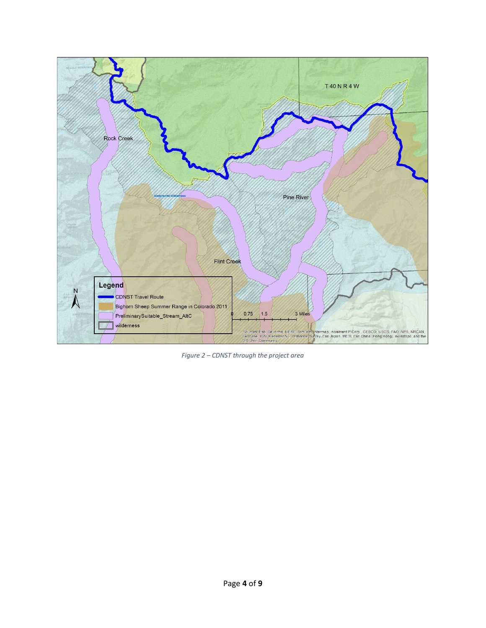

*Figure 2 – CDNST through the project area*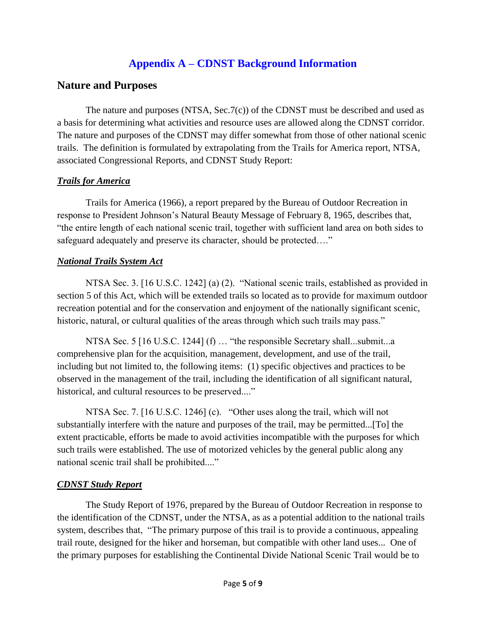# **Appendix A – CDNST Background Information**

## **Nature and Purposes**

The nature and purposes (NTSA, Sec.7(c)) of the CDNST must be described and used as a basis for determining what activities and resource uses are allowed along the CDNST corridor. The nature and purposes of the CDNST may differ somewhat from those of other national scenic trails. The definition is formulated by extrapolating from the Trails for America report, NTSA, associated Congressional Reports, and CDNST Study Report:

### *Trails for America*

Trails for America (1966), a report prepared by the Bureau of Outdoor Recreation in response to President Johnson's Natural Beauty Message of February 8, 1965, describes that, "the entire length of each national scenic trail, together with sufficient land area on both sides to safeguard adequately and preserve its character, should be protected…."

### *National Trails System Act*

NTSA Sec. 3. [16 U.S.C. 1242] (a) (2). "National scenic trails, established as provided in section 5 of this Act, which will be extended trails so located as to provide for maximum outdoor recreation potential and for the conservation and enjoyment of the nationally significant scenic, historic, natural, or cultural qualities of the areas through which such trails may pass."

NTSA Sec. 5 [16 U.S.C. 1244] (f) … "the responsible Secretary shall...submit...a comprehensive plan for the acquisition, management, development, and use of the trail, including but not limited to, the following items: (1) specific objectives and practices to be observed in the management of the trail, including the identification of all significant natural, historical, and cultural resources to be preserved...."

NTSA Sec. 7. [16 U.S.C. 1246] (c). "Other uses along the trail, which will not substantially interfere with the nature and purposes of the trail, may be permitted...[To] the extent practicable, efforts be made to avoid activities incompatible with the purposes for which such trails were established. The use of motorized vehicles by the general public along any national scenic trail shall be prohibited...."

### *CDNST Study Report*

The Study Report of 1976, prepared by the Bureau of Outdoor Recreation in response to the identification of the CDNST, under the NTSA, as as a potential addition to the national trails system, describes that, "The primary purpose of this trail is to provide a continuous, appealing trail route, designed for the hiker and horseman, but compatible with other land uses... One of the primary purposes for establishing the Continental Divide National Scenic Trail would be to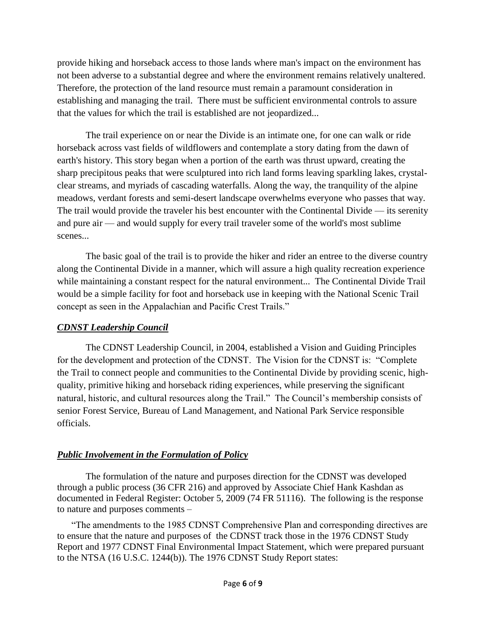provide hiking and horseback access to those lands where man's impact on the environment has not been adverse to a substantial degree and where the environment remains relatively unaltered. Therefore, the protection of the land resource must remain a paramount consideration in establishing and managing the trail. There must be sufficient environmental controls to assure that the values for which the trail is established are not jeopardized...

The trail experience on or near the Divide is an intimate one, for one can walk or ride horseback across vast fields of wildflowers and contemplate a story dating from the dawn of earth's history. This story began when a portion of the earth was thrust upward, creating the sharp precipitous peaks that were sculptured into rich land forms leaving sparkling lakes, crystalclear streams, and myriads of cascading waterfalls. Along the way, the tranquility of the alpine meadows, verdant forests and semi-desert landscape overwhelms everyone who passes that way. The trail would provide the traveler his best encounter with the Continental Divide — its serenity and pure air — and would supply for every trail traveler some of the world's most sublime scenes...

The basic goal of the trail is to provide the hiker and rider an entree to the diverse country along the Continental Divide in a manner, which will assure a high quality recreation experience while maintaining a constant respect for the natural environment... The Continental Divide Trail would be a simple facility for foot and horseback use in keeping with the National Scenic Trail concept as seen in the Appalachian and Pacific Crest Trails."

#### *CDNST Leadership Council*

The CDNST Leadership Council, in 2004, established a Vision and Guiding Principles for the development and protection of the CDNST. The Vision for the CDNST is: "Complete the Trail to connect people and communities to the Continental Divide by providing scenic, highquality, primitive hiking and horseback riding experiences, while preserving the significant natural, historic, and cultural resources along the Trail." The Council's membership consists of senior Forest Service, Bureau of Land Management, and National Park Service responsible officials.

### *Public Involvement in the Formulation of Policy*

The formulation of the nature and purposes direction for the CDNST was developed through a public process (36 CFR 216) and approved by Associate Chief Hank Kashdan as documented in Federal Register: October 5, 2009 (74 FR 51116). The following is the response to nature and purposes comments –

"The amendments to the 1985 CDNST Comprehensive Plan and corresponding directives are to ensure that the nature and purposes of the CDNST track those in the 1976 CDNST Study Report and 1977 CDNST Final Environmental Impact Statement, which were prepared pursuant to the NTSA (16 U.S.C. 1244(b)). The 1976 CDNST Study Report states: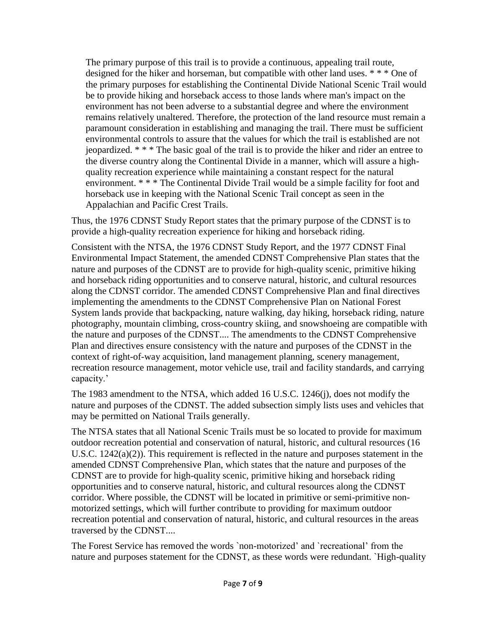The primary purpose of this trail is to provide a continuous, appealing trail route, designed for the hiker and horseman, but compatible with other land uses. \* \* \* One of the primary purposes for establishing the Continental Divide National Scenic Trail would be to provide hiking and horseback access to those lands where man's impact on the environment has not been adverse to a substantial degree and where the environment remains relatively unaltered. Therefore, the protection of the land resource must remain a paramount consideration in establishing and managing the trail. There must be sufficient environmental controls to assure that the values for which the trail is established are not jeopardized. \* \* \* The basic goal of the trail is to provide the hiker and rider an entree to the diverse country along the Continental Divide in a manner, which will assure a highquality recreation experience while maintaining a constant respect for the natural environment. \* \* \* The Continental Divide Trail would be a simple facility for foot and horseback use in keeping with the National Scenic Trail concept as seen in the Appalachian and Pacific Crest Trails.

Thus, the 1976 CDNST Study Report states that the primary purpose of the CDNST is to provide a high-quality recreation experience for hiking and horseback riding.

Consistent with the NTSA, the 1976 CDNST Study Report, and the 1977 CDNST Final Environmental Impact Statement, the amended CDNST Comprehensive Plan states that the nature and purposes of the CDNST are to provide for high-quality scenic, primitive hiking and horseback riding opportunities and to conserve natural, historic, and cultural resources along the CDNST corridor. The amended CDNST Comprehensive Plan and final directives implementing the amendments to the CDNST Comprehensive Plan on National Forest System lands provide that backpacking, nature walking, day hiking, horseback riding, nature photography, mountain climbing, cross-country skiing, and snowshoeing are compatible with the nature and purposes of the CDNST.... The amendments to the CDNST Comprehensive Plan and directives ensure consistency with the nature and purposes of the CDNST in the context of right-of-way acquisition, land management planning, scenery management, recreation resource management, motor vehicle use, trail and facility standards, and carrying capacity.'

The 1983 amendment to the NTSA, which added 16 U.S.C. 1246(j), does not modify the nature and purposes of the CDNST. The added subsection simply lists uses and vehicles that may be permitted on National Trails generally.

The NTSA states that all National Scenic Trails must be so located to provide for maximum outdoor recreation potential and conservation of natural, historic, and cultural resources (16 U.S.C. 1242(a)(2)). This requirement is reflected in the nature and purposes statement in the amended CDNST Comprehensive Plan, which states that the nature and purposes of the CDNST are to provide for high-quality scenic, primitive hiking and horseback riding opportunities and to conserve natural, historic, and cultural resources along the CDNST corridor. Where possible, the CDNST will be located in primitive or semi-primitive nonmotorized settings, which will further contribute to providing for maximum outdoor recreation potential and conservation of natural, historic, and cultural resources in the areas traversed by the CDNST....

The Forest Service has removed the words `non-motorized' and `recreational' from the nature and purposes statement for the CDNST, as these words were redundant. `High-quality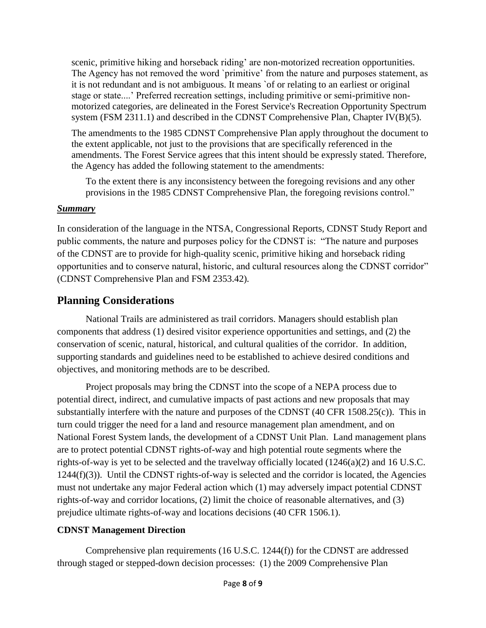scenic, primitive hiking and horseback riding' are non-motorized recreation opportunities. The Agency has not removed the word `primitive' from the nature and purposes statement, as it is not redundant and is not ambiguous. It means `of or relating to an earliest or original stage or state....' Preferred recreation settings, including primitive or semi-primitive nonmotorized categories, are delineated in the Forest Service's Recreation Opportunity Spectrum system (FSM 2311.1) and described in the CDNST Comprehensive Plan, Chapter IV(B)(5).

The amendments to the 1985 CDNST Comprehensive Plan apply throughout the document to the extent applicable, not just to the provisions that are specifically referenced in the amendments. The Forest Service agrees that this intent should be expressly stated. Therefore, the Agency has added the following statement to the amendments:

To the extent there is any inconsistency between the foregoing revisions and any other provisions in the 1985 CDNST Comprehensive Plan, the foregoing revisions control."

#### *Summary*

In consideration of the language in the NTSA, Congressional Reports, CDNST Study Report and public comments, the nature and purposes policy for the CDNST is: "The nature and purposes of the CDNST are to provide for high-quality scenic, primitive hiking and horseback riding opportunities and to conserve natural, historic, and cultural resources along the CDNST corridor" (CDNST Comprehensive Plan and FSM 2353.42)*.*

# **Planning Considerations**

National Trails are administered as trail corridors. Managers should establish plan components that address (1) desired visitor experience opportunities and settings, and (2) the conservation of scenic, natural, historical, and cultural qualities of the corridor. In addition, supporting standards and guidelines need to be established to achieve desired conditions and objectives, and monitoring methods are to be described.

Project proposals may bring the CDNST into the scope of a NEPA process due to potential direct, indirect, and cumulative impacts of past actions and new proposals that may substantially interfere with the nature and purposes of the CDNST (40 CFR 1508.25(c)). This in turn could trigger the need for a land and resource management plan amendment, and on National Forest System lands, the development of a CDNST Unit Plan. Land management plans are to protect potential CDNST rights-of-way and high potential route segments where the rights-of-way is yet to be selected and the travelway officially located (1246(a)(2) and 16 U.S.C. 1244(f)(3)). Until the CDNST rights-of-way is selected and the corridor is located, the Agencies must not undertake any major Federal action which (1) may adversely impact potential CDNST rights-of-way and corridor locations, (2) limit the choice of reasonable alternatives, and (3) prejudice ultimate rights-of-way and locations decisions (40 CFR 1506.1).

### **CDNST Management Direction**

Comprehensive plan requirements (16 U.S.C. 1244(f)) for the CDNST are addressed through staged or stepped-down decision processes: (1) the 2009 Comprehensive Plan